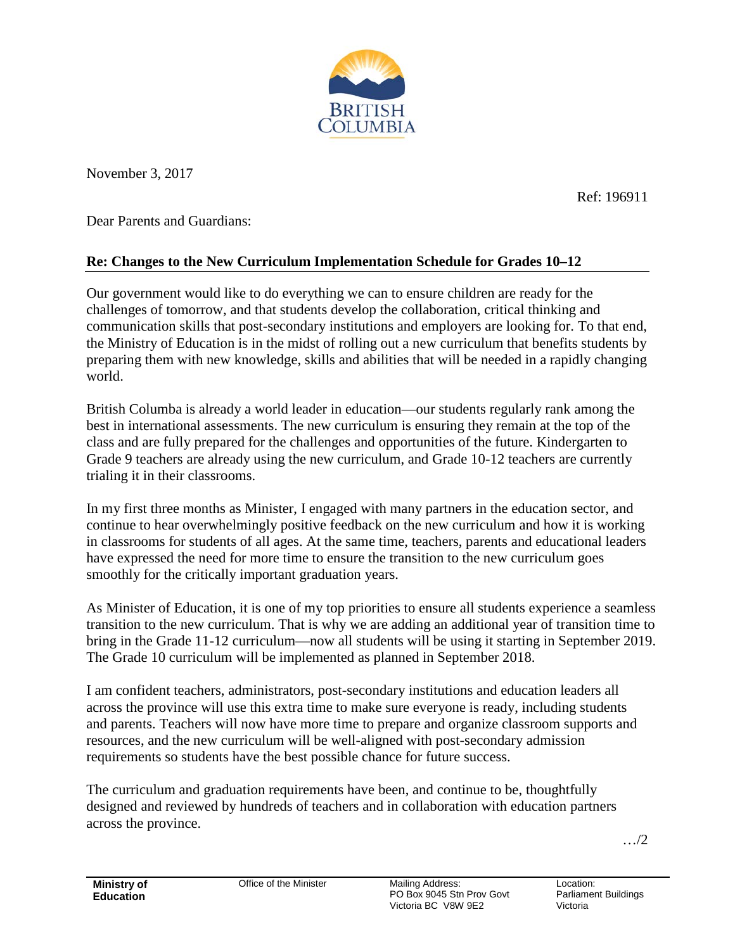

November 3, 2017

Ref: 196911

Dear Parents and Guardians:

## **Re: Changes to the New Curriculum Implementation Schedule for Grades 10–12**

Our government would like to do everything we can to ensure children are ready for the challenges of tomorrow, and that students develop the collaboration, critical thinking and communication skills that post-secondary institutions and employers are looking for. To that end, the Ministry of Education is in the midst of rolling out a new curriculum that benefits students by preparing them with new knowledge, skills and abilities that will be needed in a rapidly changing world.

British Columba is already a world leader in education—our students regularly rank among the best in international assessments. The new curriculum is ensuring they remain at the top of the class and are fully prepared for the challenges and opportunities of the future. Kindergarten to Grade 9 teachers are already using the new curriculum, and Grade 10-12 teachers are currently trialing it in their classrooms.

In my first three months as Minister, I engaged with many partners in the education sector, and continue to hear overwhelmingly positive feedback on the new curriculum and how it is working in classrooms for students of all ages. At the same time, teachers, parents and educational leaders have expressed the need for more time to ensure the transition to the new curriculum goes smoothly for the critically important graduation years.

As Minister of Education, it is one of my top priorities to ensure all students experience a seamless transition to the new curriculum. That is why we are adding an additional year of transition time to bring in the Grade 11-12 curriculum—now all students will be using it starting in September 2019. The Grade 10 curriculum will be implemented as planned in September 2018.

I am confident teachers, administrators, post-secondary institutions and education leaders all across the province will use this extra time to make sure everyone is ready, including students and parents. Teachers will now have more time to prepare and organize classroom supports and resources, and the new curriculum will be well-aligned with post-secondary admission requirements so students have the best possible chance for future success.

The curriculum and graduation requirements have been, and continue to be, thoughtfully designed and reviewed by hundreds of teachers and in collaboration with education partners across the province.

…/2